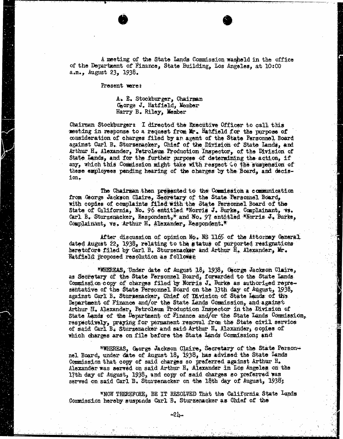A meeting of the State Lands Commission washeld in the office of the Department of Finance, State Building, Los Angeles, at 10:00 a.m., August 23, 1938.

Present were:

A. E. Stockburger, Chairman George J. Hatfield, Member Harry B. Riley, Member

Chairman Stockburger: I directed the Executive Officer to call this meeting in response to a request from Mr. Hatfield for the purpose of consideration of charges filed by an agent of the State Personnel Board against Carl B. Sturzenacker, Chief of the Division of State Lands, and Arthur H. Alexander, Petroleum Production Inspector, of the Division of State Lands, and for the further purpose of determining the action, if any, which this Commission might take with respect co the suspension of these employees pending hearing of the charges by the Board, and decision.

The Chairman then presented to the Commission a communication from George Jackson Claire, Secretary of the State Personnel Board, with copies of complaints filed with the State Personnel Board of the State of California, No. 96 entitled "Norris J. Burke, Complainant, vs. Carl B. Sturzenacker, Respondent," and No. 97 entitled "Norris J. Burke, Complainant, vs. Arthur H. Alexander, Respondent."

After discussion of opinion No. NS 1165 of the Attorney General dated August 22, 1938, relating to the status of purported resignations heretofore filed by Carl B. Sturzenacker and Arthur H. Alexander, Kr. Hatfield proposed resolution as followss

"WHEREAS, Under date of August 18, 1938, Gorge Jackson Claire, as Secretary of the State Personnel Board, forwarded to the State Lands Commission copy of charges filed by Norris J. Burke as authorized representative of the State Personnel Board on the 13th day of August, 1938, against Carl B. Stursenacker, Chief of Division of State Lands of thy Department of Finance and/or the State Lands Commission, and against Arthur H. Alexander, Petroleum Production Inspector in the Division of State Lands of the Department of Finance and/ or the State Lands Commission, respectively, praying for permanent removal from the State civil service of said Carl B. Sturzenacker and said Arthur H. Alexander, copies of which charges are on file before the State Lands Commission; and

"WHEREAS, George Jackson Claire, Secretary of the State Person- nel Board, under date of August 18, 1938, has advised the State Lands Commission that copy of said charges so preferred against Arthur H. Alexander was served on said Arthur H. Alexander in Los Angeles on the 17th day of August, 1938, and copy of said charges so preferred was served on said Carl B. Sturzenacker on the 18th day of August, 1938;

\*NOW THEREFORE, BE IT RESOLVED That the California State Lands Commission hereby suspends Carl B. Sturzenacker as Chief of the